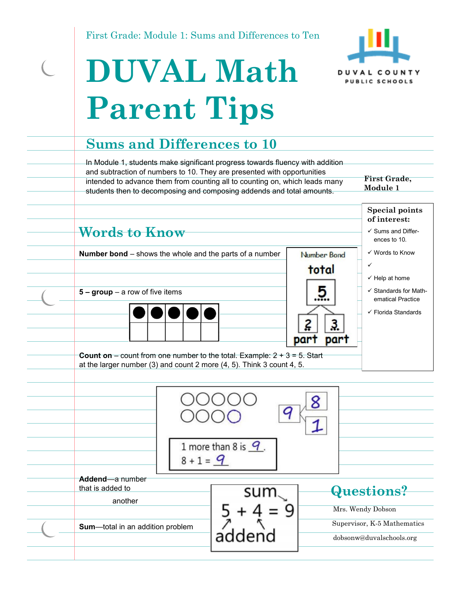First Grade: Module 1: Sums and Differences to Ten



# **DUVAL Math Parent Tips**

 $\overline{C}$ 

#### **Sums and Differences to 10**

In Module 1, students make significant progress towards fluency with addition and subtraction of numbers to 10. They are presented with opportunities intended to advance them from counting all to counting on, which leads many students then to decomposing and composing addends and total amounts.

**First Grade, Module 1** 

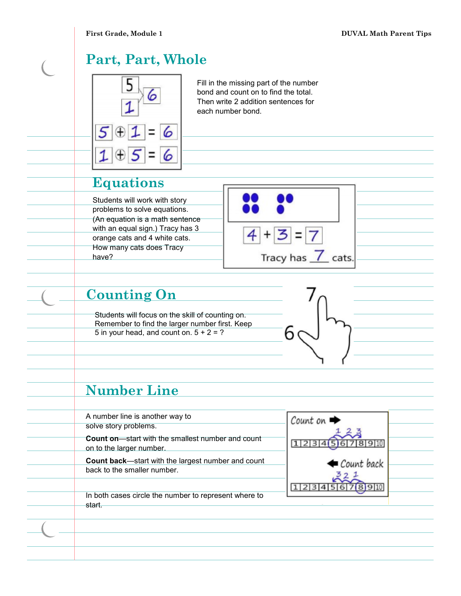## **Part, Part, Whole**



Fill in the missing part of the number bond and count on to find the total. Then write 2 addition sentences for each number bond.

## **Equations**

Students will work with story problems to solve equations. (An equation is a math sentence with an equal sign.) Tracy has 3 orange cats and 4 white cats. How many cats does Tracy have?



#### **Counting On**

Students will focus on the skill of counting on. Remember to find the larger number first. Keep 5 in your head, and count on.  $5 + 2 = ?$ 



### **Number Line**

| A number line is another way to<br>solve story problems.                                 | $Count on \rightarrow$ |  |
|------------------------------------------------------------------------------------------|------------------------|--|
| <b>Count on—start with the smallest number and count</b><br>on to the larger number.     |                        |  |
| <b>Count back—start with the largest number and count</b><br>back to the smaller number. | Count back             |  |
| In both cases circle the number to represent where to                                    |                        |  |
| start.                                                                                   |                        |  |
|                                                                                          |                        |  |
|                                                                                          |                        |  |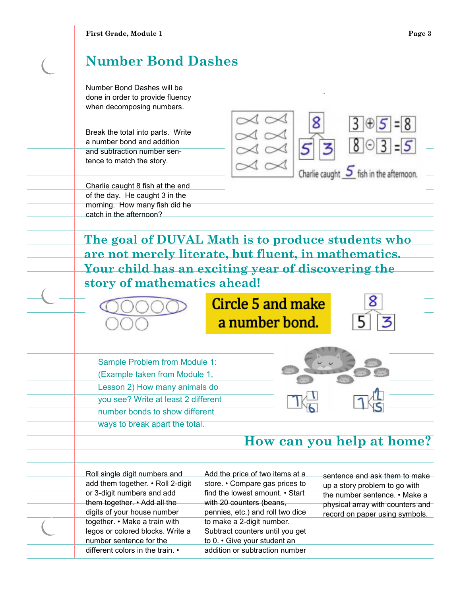# **Number Bond Dashes**

Number Bond Dashes will be done in order to provide fluency when decomposing numbers.

Break the total into parts. Write a number bond and addition and subtraction number sentence to match the story.

Charlie caught 8 fish at the end of the day. He caught 3 in the morning. How many fish did he catch in the afternoon?

 $3 \bigoplus 5 = 8$  $8 \odot 3 = 5$ Charlie caught  $\overline{S}$  fish in the afternoon.

.

**The goal of DUVAL Math is to produce students who are not merely literate, but fluent, in mathematics. Your child has an exciting year of discovering the story of mathematics ahead!** 



# **Circle 5 and make** a number bond.

Sample Problem from Module 1: (Example taken from Module 1, Lesson 2) How many animals do you see? Write at least 2 different number bonds to show different ways to break apart the total.

#### **How can you help at home?**

Roll single digit numbers and add them together. • Roll 2-digit or 3-digit numbers and add them together. • Add all the digits of your house number together. • Make a train with legos or colored blocks. Write a number sentence for the different colors in the train. •

Add the price of two items at a store. • Compare gas prices to find the lowest amount. • Start with 20 counters (beans, pennies, etc.) and roll two dice to make a 2-digit number. Subtract counters until you get to 0. • Give your student an addition or subtraction number

sentence and ask them to make up a story problem to go with the number sentence. • Make a physical array with counters and record on paper using symbols.